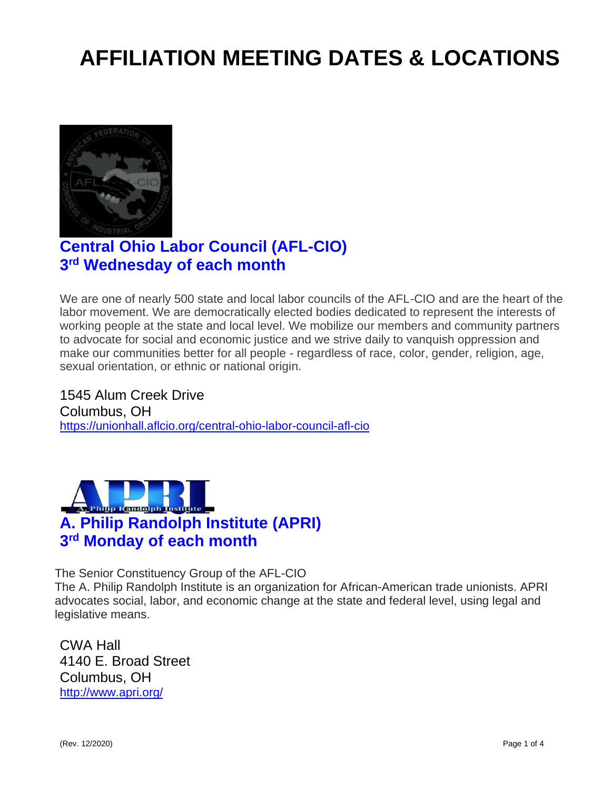# **AFFILIATION MEETING DATES & LOCATIONS**



# **Central Ohio Labor Council (AFL-CIO) 3 rd Wednesday of each month**

We are one of nearly 500 state and local labor councils of the AFL-CIO and are the heart of the labor movement. We are democratically elected bodies dedicated to represent the interests of working people at the state and local level. We mobilize our members and community partners to advocate for social and economic justice and we strive daily to vanquish oppression and make our communities better for all people - regardless of race, color, gender, religion, age, sexual orientation, or ethnic or national origin.

1545 Alum Creek Drive Columbus, OH <https://unionhall.aflcio.org/central-ohio-labor-council-afl-cio>



The Senior Constituency Group of the AFL-CIO

The A. Philip Randolph Institute is an organization for African-American trade unionists. APRI advocates social, labor, and economic change at the state and federal level, using legal and legislative means.

CWA Hall 4140 E. Broad Street Columbus, OH <http://www.apri.org/>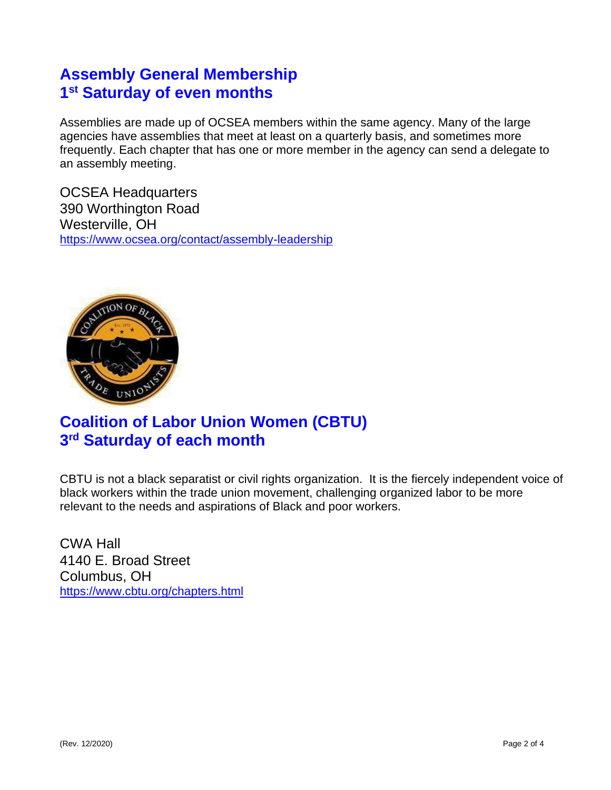### **Assembly General Membership 1 st Saturday of even months**

Assemblies are made up of OCSEA members within the same agency. Many of the large agencies have assemblies that meet at least on a quarterly basis, and sometimes more frequently. Each chapter that has one or more member in the agency can send a delegate to an assembly meeting.

OCSEA Headquarters 390 Worthington Road Westerville, OH <https://www.ocsea.org/contact/assembly-leadership>



# **Coalition of Labor Union Women (CBTU) 3 rd Saturday of each month**

CBTU is not a black separatist or civil rights organization. It is the fiercely independent voice of black workers within the trade union movement, challenging organized labor to be more relevant to the needs and aspirations of Black and poor workers.

CWA Hall 4140 E. Broad Street Columbus, OH <https://www.cbtu.org/chapters.html>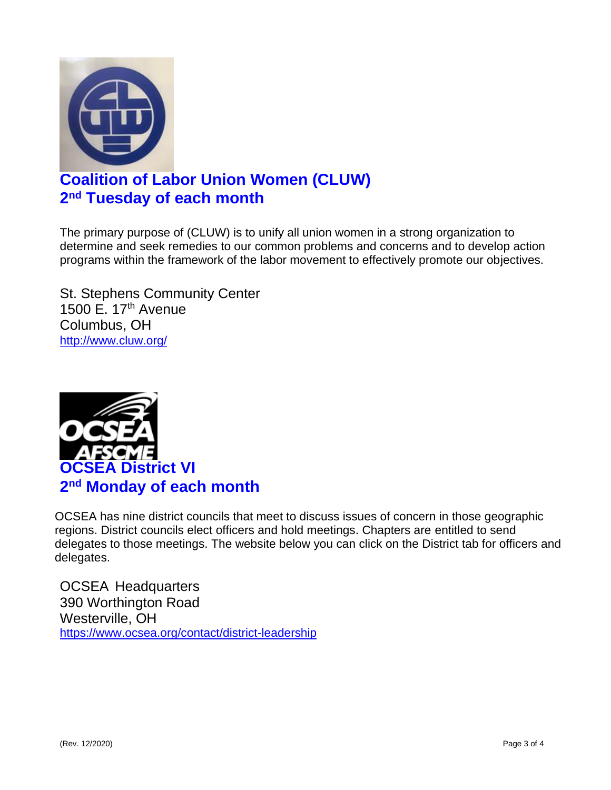

# **Coalition of Labor Union Women (CLUW) 2 nd Tuesday of each month**

The primary purpose of (CLUW) is to unify all union women in a strong organization to determine and seek remedies to our common problems and concerns and to develop action programs within the framework of the labor movement to effectively promote our objectives.

St. Stephens Community Center 1500 E. 17th Avenue Columbus, OH <http://www.cluw.org/>



OCSEA has nine district councils that meet to discuss issues of concern in those geographic regions. District councils elect officers and hold meetings. Chapters are entitled to send delegates to those meetings. The website below you can click on the District tab for officers and delegates.

OCSEA Headquarters 390 Worthington Road Westerville, OH <https://www.ocsea.org/contact/district-leadership>